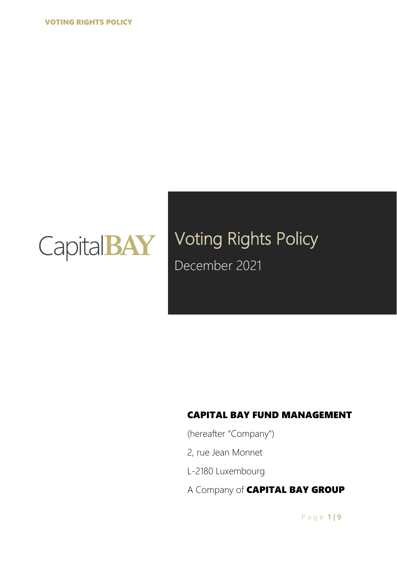

# Voting Rights Policy December 2021

### CAPITAL BAY FUND MANAGEMENT

(hereafter "Company")

- 2, rue Jean Monnet
- L-2180 Luxembourg
- A Company of **CAPITAL BAY GROUP**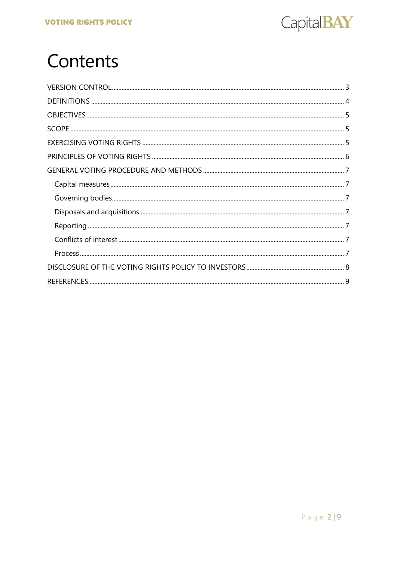

# Contents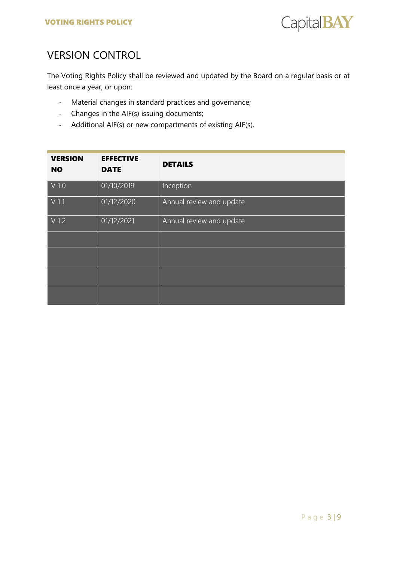

## <span id="page-2-0"></span>VERSION CONTROL

The Voting Rights Policy shall be reviewed and updated by the Board on a regular basis or at least once a year, or upon:

- Material changes in standard practices and governance;
- Changes in the AIF(s) issuing documents;
- Additional AIF(s) or new compartments of existing AIF(s).

| <b>VERSION</b><br><b>NO</b> | <b>EFFECTIVE</b><br><b>DATE</b> | <b>DETAILS</b>           |
|-----------------------------|---------------------------------|--------------------------|
| $V$ 1.0                     | 01/10/2019                      | Inception                |
| $V$ 1.1                     | 01/12/2020                      | Annual review and update |
| $V$ 1.2                     | 01/12/2021                      | Annual review and update |
|                             |                                 |                          |
|                             |                                 |                          |
|                             |                                 |                          |
|                             |                                 |                          |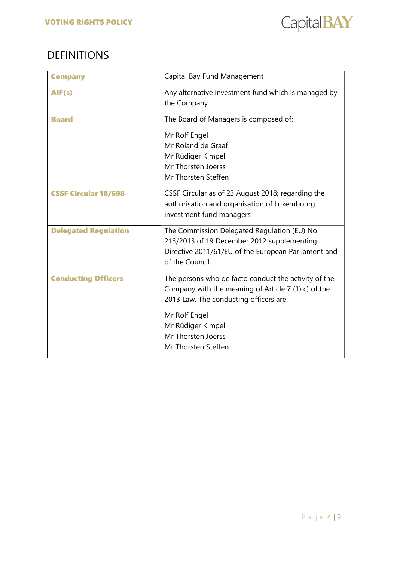

## <span id="page-3-0"></span>DEFINITIONS

| <b>Company</b>              | Capital Bay Fund Management                                                                                                                                                                                                              |
|-----------------------------|------------------------------------------------------------------------------------------------------------------------------------------------------------------------------------------------------------------------------------------|
| AIF(s)                      | Any alternative investment fund which is managed by<br>the Company                                                                                                                                                                       |
| <b>Board</b>                | The Board of Managers is composed of:<br>Mr Rolf Engel<br>Mr Roland de Graaf<br>Mr Rüdiger Kimpel<br>Mr Thorsten Joerss<br>Mr Thorsten Steffen                                                                                           |
| <b>CSSF Circular 18/698</b> | CSSF Circular as of 23 August 2018; regarding the<br>authorisation and organisation of Luxembourg<br>investment fund managers                                                                                                            |
| <b>Delegated Regulation</b> | The Commission Delegated Regulation (EU) No<br>213/2013 of 19 December 2012 supplementing<br>Directive 2011/61/EU of the European Parliament and<br>of the Council.                                                                      |
| <b>Conducting Officers</b>  | The persons who de facto conduct the activity of the<br>Company with the meaning of Article 7 (1) c) of the<br>2013 Law. The conducting officers are:<br>Mr Rolf Engel<br>Mr Rüdiger Kimpel<br>Mr Thorsten Joerss<br>Mr Thorsten Steffen |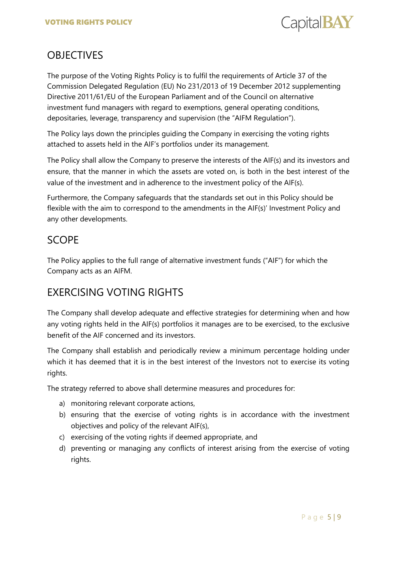

## <span id="page-4-0"></span>**OBJECTIVES**

The purpose of the Voting Rights Policy is to fulfil the requirements of Article 37 of the Commission Delegated Regulation (EU) No 231/2013 of 19 December 2012 supplementing Directive 2011/61/EU of the European Parliament and of the Council on alternative investment fund managers with regard to exemptions, general operating conditions, depositaries, leverage, transparency and supervision (the "AIFM Regulation").

The Policy lays down the principles guiding the Company in exercising the voting rights attached to assets held in the AIF's portfolios under its management.

The Policy shall allow the Company to preserve the interests of the AIF(s) and its investors and ensure, that the manner in which the assets are voted on, is both in the best interest of the value of the investment and in adherence to the investment policy of the AIF(s).

Furthermore, the Company safeguards that the standards set out in this Policy should be flexible with the aim to correspond to the amendments in the AIF(s)' Investment Policy and any other developments.

## <span id="page-4-1"></span>**SCOPE**

The Policy applies to the full range of alternative investment funds ("AIF") for which the Company acts as an AIFM.

## <span id="page-4-2"></span>EXERCISING VOTING RIGHTS

The Company shall develop adequate and effective strategies for determining when and how any voting rights held in the AIF(s) portfolios it manages are to be exercised, to the exclusive benefit of the AIF concerned and its investors.

The Company shall establish and periodically review a minimum percentage holding under which it has deemed that it is in the best interest of the Investors not to exercise its voting rights.

The strategy referred to above shall determine measures and procedures for:

- a) monitoring relevant corporate actions,
- b) ensuring that the exercise of voting rights is in accordance with the investment objectives and policy of the relevant AIF(s),
- c) exercising of the voting rights if deemed appropriate, and
- d) preventing or managing any conflicts of interest arising from the exercise of voting rights.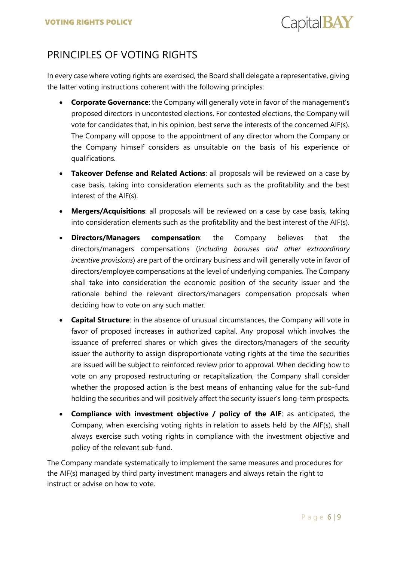Capital **BAY** 

## <span id="page-5-0"></span>PRINCIPLES OF VOTING RIGHTS

In every case where voting rights are exercised, the Board shall delegate a representative, giving the latter voting instructions coherent with the following principles:

- **Corporate Governance**: the Company will generally vote in favor of the management's proposed directors in uncontested elections. For contested elections, the Company will vote for candidates that, in his opinion, best serve the interests of the concerned AIF(s). The Company will oppose to the appointment of any director whom the Company or the Company himself considers as unsuitable on the basis of his experience or qualifications.
- **Takeover Defense and Related Actions**: all proposals will be reviewed on a case by case basis, taking into consideration elements such as the profitability and the best interest of the AIF(s).
- **Mergers/Acquisitions**: all proposals will be reviewed on a case by case basis, taking into consideration elements such as the profitability and the best interest of the AIF(s).
- **Directors/Managers compensation**: the Company believes that the directors/managers compensations (*including bonuses and other extraordinary incentive provisions*) are part of the ordinary business and will generally vote in favor of directors/employee compensations at the level of underlying companies. The Company shall take into consideration the economic position of the security issuer and the rationale behind the relevant directors/managers compensation proposals when deciding how to vote on any such matter.
- **Capital Structure**: in the absence of unusual circumstances, the Company will vote in favor of proposed increases in authorized capital. Any proposal which involves the issuance of preferred shares or which gives the directors/managers of the security issuer the authority to assign disproportionate voting rights at the time the securities are issued will be subject to reinforced review prior to approval. When deciding how to vote on any proposed restructuring or recapitalization, the Company shall consider whether the proposed action is the best means of enhancing value for the sub-fund holding the securities and will positively affect the security issuer's long-term prospects.
- **Compliance with investment objective / policy of the AIF**: as anticipated, the Company, when exercising voting rights in relation to assets held by the AIF(s), shall always exercise such voting rights in compliance with the investment objective and policy of the relevant sub-fund.

The Company mandate systematically to implement the same measures and procedures for the AIF(s) managed by third party investment managers and always retain the right to instruct or advise on how to vote.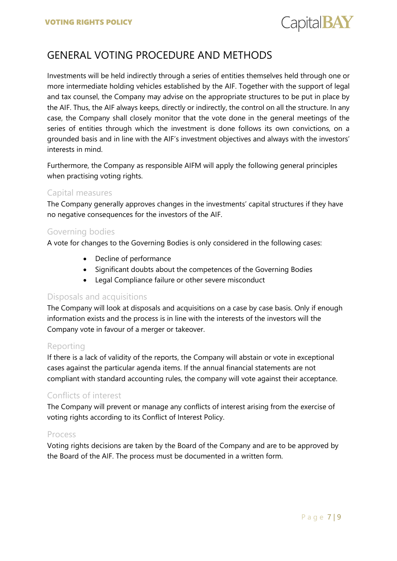

## <span id="page-6-0"></span>GENERAL VOTING PROCEDURE AND METHODS

Investments will be held indirectly through a series of entities themselves held through one or more intermediate holding vehicles established by the AIF. Together with the support of legal and tax counsel, the Company may advise on the appropriate structures to be put in place by the AIF. Thus, the AIF always keeps, directly or indirectly, the control on all the structure. In any case, the Company shall closely monitor that the vote done in the general meetings of the series of entities through which the investment is done follows its own convictions, on a grounded basis and in line with the AIF's investment objectives and always with the investors' interests in mind.

Furthermore, the Company as responsible AIFM will apply the following general principles when practising voting rights.

#### <span id="page-6-1"></span>Capital measures

The Company generally approves changes in the investments' capital structures if they have no negative consequences for the investors of the AIF.

#### <span id="page-6-2"></span>Governing bodies

A vote for changes to the Governing Bodies is only considered in the following cases:

- Decline of performance
- Significant doubts about the competences of the Governing Bodies
- Legal Compliance failure or other severe misconduct

#### <span id="page-6-3"></span>Disposals and acquisitions

The Company will look at disposals and acquisitions on a case by case basis. Only if enough information exists and the process is in line with the interests of the investors will the Company vote in favour of a merger or takeover.

#### <span id="page-6-4"></span>Reporting

If there is a lack of validity of the reports, the Company will abstain or vote in exceptional cases against the particular agenda items. If the annual financial statements are not compliant with standard accounting rules, the company will vote against their acceptance.

### <span id="page-6-5"></span>Conflicts of interest

The Company will prevent or manage any conflicts of interest arising from the exercise of voting rights according to its Conflict of Interest Policy.

#### <span id="page-6-6"></span>Process

Voting rights decisions are taken by the Board of the Company and are to be approved by the Board of the AIF. The process must be documented in a written form.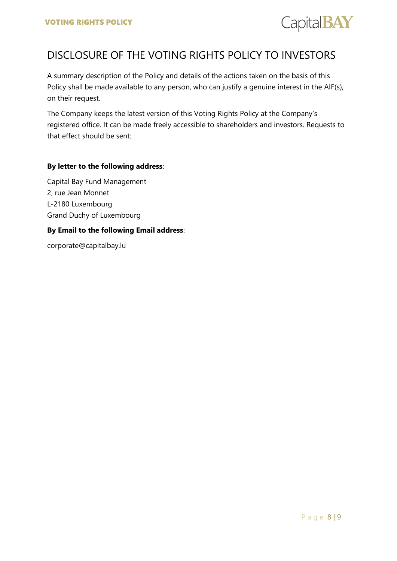

## <span id="page-7-0"></span>DISCLOSURE OF THE VOTING RIGHTS POLICY TO INVESTORS

A summary description of the Policy and details of the actions taken on the basis of this Policy shall be made available to any person, who can justify a genuine interest in the AIF(s), on their request.

The Company keeps the latest version of this Voting Rights Policy at the Company's registered office. It can be made freely accessible to shareholders and investors. Requests to that effect should be sent:

#### **By letter to the following address**:

Capital Bay Fund Management 2, rue Jean Monnet L-2180 Luxembourg Grand Duchy of Luxembourg

#### **By Email to the following Email address**:

corporate@capitalbay.lu